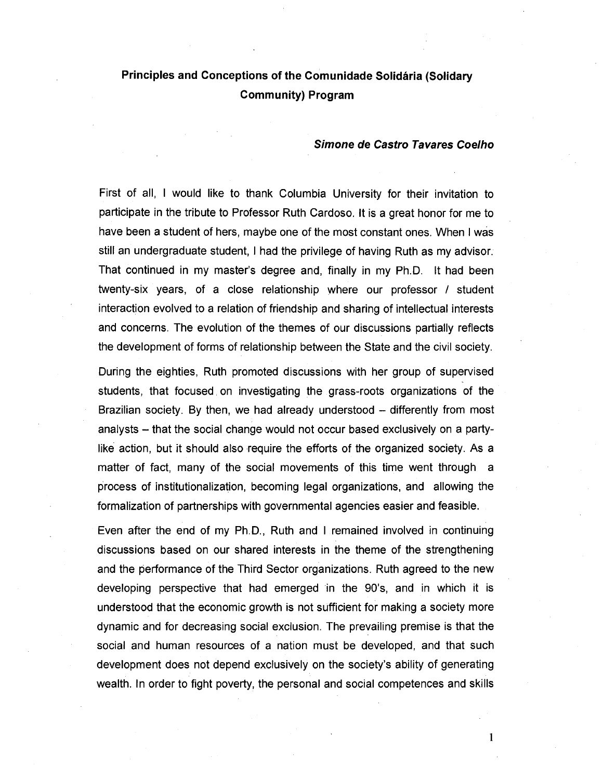## Principles and Conceptions of the Comunidade Solidária (Solidary Community) Program

## Simone de Castro Tavares Coelho

First of all, I would like to thank Columbia University for their invitation to participate in the tribute to Professor Ruth Cardoso. It is a great honor for me to have been a student of hers, maybe one of the most constant ones. When I was still an undergraduate student, I had the privilege of having Ruth as my advisor. That continued in my master's degree and, finally in my Ph.D. It had been twenty-six years, of a close relationship where our professor / student interaction evolved to a relation of friendship and sharing of intellectual interests and concerns. The evolution of the themes of our discussions partially reflects the development of forms of relationship between the State and the civil society.

During the eighties, Ruth promoted discussions with her group of supervised students, that focused. on investigating the grass-roots organizations of the Brazilian society. By then, we had already understood – differently from most analysts – that the social change would not occur based exclusively on a partylike action, but it should also require the efforts of the organized society. As a matter of fact, many of the social movements of this time went through a process of institutionalization, becoming legal organizations, and allowing the formalization of partnerships with governmental agencies easier and feasible.

Even after the end of my Ph.D., Ruth and I remained involved in continuing discussions based on our shared interests in the theme of the strengthening and the performance of the Third Sector organizations. Ruth agreed to the new developing perspective that had emerged in the 90's, and in which it is understood that the economic growth is not sufficient for making a society more dynamic and for decreasing social exclusion. The prevailing premise is that the social and human resources of a nation must be developed, and that such development does not depend exclusively on the society's ability of generating wealth. In order to fight poverty, the personal and social competences and skills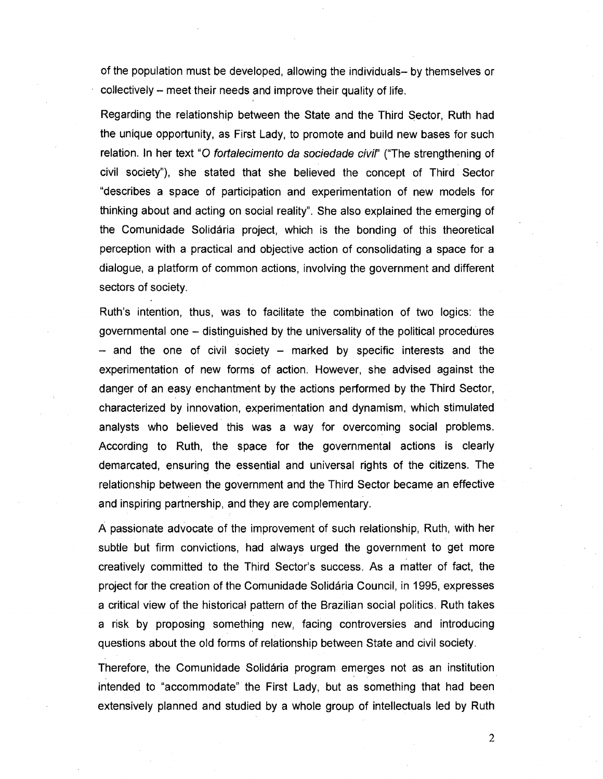of the population must be developed, allowing the individuals- by themselves or collectively - meet their needs and improve their quality of life.

Regarding the relationship between the State and the Third Sector, Ruth had the unique opportunity, as First Lady, to promote and build new bases for such relation. In her text "O *fortalecimento da sociedade civil*" ("The strengthening of civil society"), she stated that she believed the concept of Third Sector "describes a space of participation and experimentation of new models for thinking about and acting on social reality". She also explained the emerging of the Comunidade Solidaria project, which is the bonding of this theoretical perception with a practical and objective action of consolidating a space for a dialogue, a platform of common actions, involving the government and different sectors of society.

Ruth's intention, thus, was to facilitate the combination of two logics: the governmental one - distinguished by the universality of the political procedures  $-$  and the one of civil society  $-$  marked by specific interests and the experimentation of new forms of action. However, she advised against the danger of an easy enchantment by the actions performed by the Third Sector, characterized by innovation, experimentation and dynamism, which stimulated analysts who believed this was a way for overcoming social problems. According to Ruth, the space for the governmental actions is clearly demarcated, ensuring the essential and universal rights of the citizens. The relationship between the government and the Third Sector became an effective and inspiring partnership, and they are complementary.

A passionate advocate of the improvement of such relationship, Ruth, with her subtle but firm convictions, had always urged the government to get more creatively committed to the Third Sector's success. As a matter of fact, the project for the creation of the Comunidade Solidaria Council, in 1995, expresses a critical view of the historical pattern of the Brazilian social politics. Ruth takes a risk by proposing something new, facing controversies and introducing questions about the old forms of relationship between State and civil society.

Therefore, the Comunidade Solidaria program emerges not as an institution intended to "accommodate" the First Lady, but as something that had been extensively planned and studied by a whole group of intellectuals led by Ruth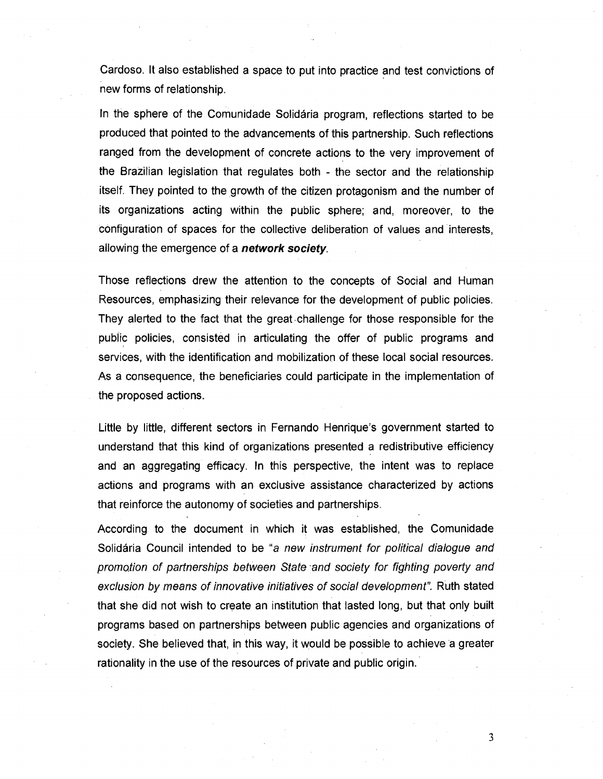Cardoso. It also established a space to put into practice and test convictions of new forms of relationship.

In the sphere of the Comunidade Solidaria program, reflections started to be produced that pointed to the advancements of this partnership. Such reflections ranged from the development of concrete actions to the very improvement of the Brazilian legislation that regulates both - the sector and the relationship itself. They pointed to the growth of the citizen protagonism and the number of its organizations acting within the public sphere; and, moreover, to the configuration of spaces for the collective deliberation of values and interests, allowing the emergence of a network society.

Those reflections drew the attention to the concepts of Social and Human Resources, emphasizing their relevance for the development of public policies. They alerted to the fact that the great ·challenge for those responsible for the public policies, consisted in articulating the offer of public programs and services, with the identification and mobilization of these local social resources. As a consequence, the beneficiaries could participate in the implementation of the proposed actions.

Little by little, different sectors in Fernando Henrique's government started to understand that this kind of organizations presented a redistributive efficiency and an aggregating efficacy. In this perspective, the intent was to replace actions and programs with an exclusive assistance characterized by actions that reinforce the autonomy of societies and partnerships.

According to the document in which it was established, the Comunidade Solidaria Council intended to be "a new instrument for political dialogue and promotion of partnerships between State 'and society for fighting poverty and exclusion by means of innovative initiatives of social development". Ruth stated that she did not wish to create an institution that lasted long, but that only built programs based on partnerships between public agencies and organizations of society. She believed that, in this way, it would be possible to achieve a greater rationality in the use of the resources of private and public origin.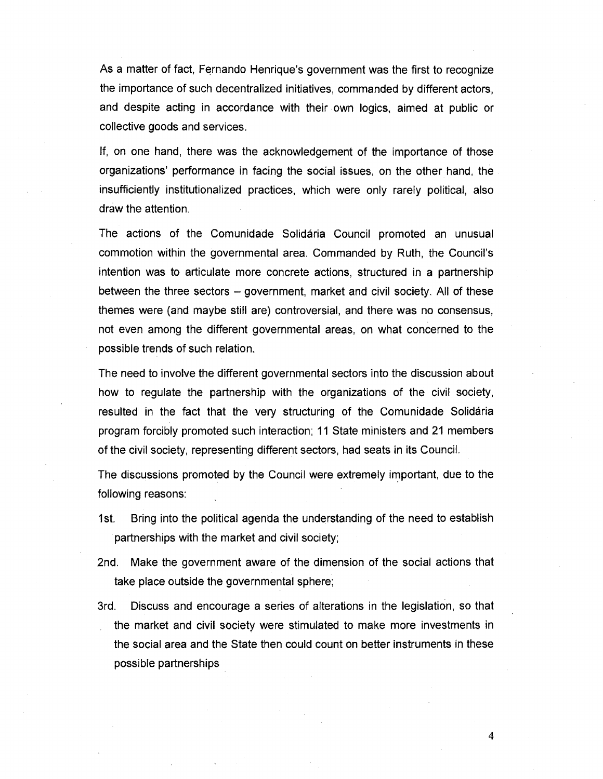As a matter of fact, Fernando Henrique's government was the first to recognize the importance of such decentralized initiatives, commanded by different actors, and despite acting in accordance with their own logics, aimed at public or collective goods and services.

If, on one hand. there was the acknowledgement of the importance of those organizations' performance in facing the social issues, on the other hand, the insufficiently institutionalized practices, which were only rarely political. also draw the attention.

The actions of the Comunidade Solidaria Council promoted an unusual commotion within the governmental area. Commanded by Ruth. the Council's intention was to articulate more concrete actions. structured in a partnership between the three sectors – government, market and civil society. All of these themes were (and maybe still are) controversial, and there was no consensus, not even among the different governmental areas. on what concerned to the possible trends of such relation.

The need to involve the different governmental sectors into the discussion about how to regulate the partnership with the organizations of the civil society, resulted in the fact that the very structuring of the Comunidade Solidaria program forcibly promoted such interaction; 11 State ministers and 21 members of the civil society. representing different sectors, had seats in its Council.

The discussions promoted by the Council were extremely important, due to the following reasons:

- 1st. Bring into the political agenda the understanding of the need to establish partnerships with the market and civil society;
- 2nd. Make the government aware of the dimension of the social actions that take place outside the governmental sphere;
- 3rd. Discuss and encourage a series of alterations in the legislation, so that the market and civil society were stimulated to make more investments in the social area and the State then could count on better instruments in these possible partnerships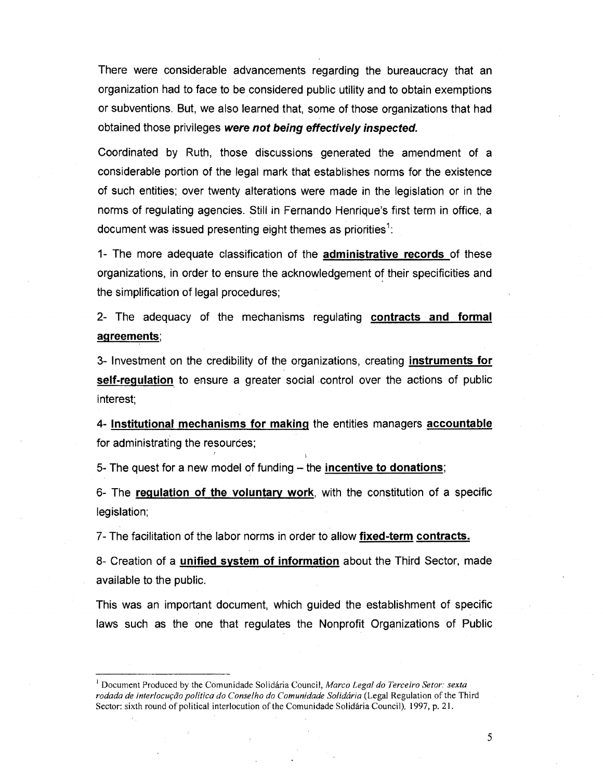There were considerable advancements regarding the bureaucracy that an organization had to face to be considered public utility and to obtain exemptions or subventions. But, we also learned that, some of those organizations that had obtained those privileges **were not being effectively inspected.** 

Coordinated by Ruth, those discussions generated the amendment of a considerable portion of the legal mark that establishes norms for the existence of such entities; over twenty alterations were made in the legislation or in the norms of regulating agencies. Still in Fernando Henrique's first term in office, a document was issued presenting eight themes as priorities $\frac{1}{1}$ .

1- The more adequate classification of the **administrative records** of these organizations, in order to ensure the acknowledgement of their specificities and the simplification of legal procedures;

2- The adequacy of the mechanisms regulating **contracts and formal agreements;** 

3- Investment on the credibility of the organizations, creating **instruments for self-regulation** to ensure a greater social control over the actions of public interest;

4- **Institutional mechanisms for making** the entities managers **accountable**  for administrating the resources;

5- The quest for a new model of funding -- the **incentive to donations**;

6- The **regulation of the voluntary** work, with the constitution of a specific legislation;

7 - The facilitation of the labor norms in order to allow **fixed-term contracts.** 

8- Creation of a **unified system of information** about the Third Sector, made available to the public.

This was an important document, which guided the establishment of specific laws such as the one that regulates the Nonprofit Organizations of Public

<sup>I</sup>Document Produced by the Comunidade Solidaria Council, *Marco Legal do Terceiro Setor: sexta*  rodada de interlocução política do Conselho do Comunidade Solidária (Legal Regulation of the Third Sector: sixth round of political interlocution of the Comunidade Solidária Council), 1997, p. 21.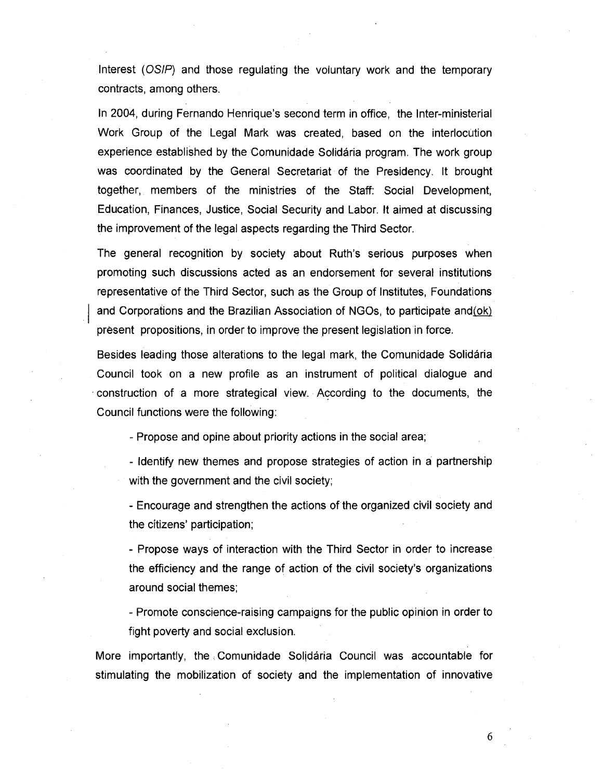Interest (OSIP) and those regulating the voluntary work and the temporary contracts, among others.

In 2004, during Fernando Henrique's second term in office, the Inter-ministerial Work Group of the Legal Mark was created, based on the interlocution experience established by the Comunidade Solidaria program. The work group was coordinated by the General Secretariat of the Presidency. It brought together, members of the ministries of the Staff: Social Development, Education, Finances, Justice, Social Security and Labor. It aimed at discussing the improvement of the legal aspects regarding the Third Sector.

The general recognition by society about Ruth's serious purposes when promoting such discussions acted as an endorsement for several institutions representative of the Third Sector, such as the Group of Institutes, Foundations and Corporations and the Brazilian Association of NGOs, to participate and $(ok)$ present propositions, in order to improve the present legislation in force.

Besides leading those alterations to the legal mark, the Comunidade Solidaria Council took on a new profile as an instrument of political dialogue and . construction of a more strategical view. According to the documents, the Council functions were the following:

- Propose and opine about priority actions in the social area;

- Identify new themes and propose strategies of action in a partnership with the government and the civil society;

- Encourage and strengthen the actions of the organized civil society and the citizens' participation;

- Propose ways of interaction with the Third Sector in order to increase the efficiency and the range of action of the civil society's organizations around social themes;

- Promote conscience-raising campaigns for the public opinion in order to fight poverty and social exclusion.

More importantly, the Comunidade Solidaria Council was accountable for stimulating the mobilization of society and the implementation of innovative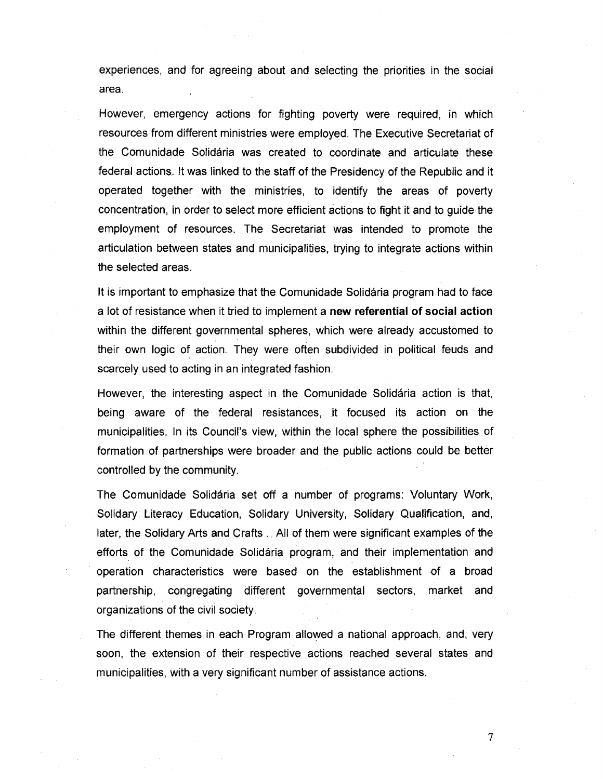experiences, and for agreeing about and selecting the priorities in the social area.

However, emergency actions for fighting poverty were required, in which resources from different ministries were employed. The Executive Secretariat of the Comunidade Solidaria was created to coordinate and articulate these federal actions. It was linked to the staff of the Presidency of the Republic and it operated together with the ministries, to identify the areas of poverty concentration, in order to select more efficient actions to fight it and to guide the employment of resources. The Secretariat was intended to promote the articulation between states and municipalities, trying to integrate actions within the selected areas.

It is important to emphasize that the Comunidade Solidaria program had to face a lot of resistance when it tried to implement a **new referential of social action**  within the different governmental spheres, which were already accustomed to their own logic of action. They were often subdivided in political feuds and scarcely used to acting in an integrated fashion.

However, the interesting aspect in the Comunidade Solldaria action is that, being aware of the federal resistances, it focused its action on the municipalities. In its Council's view, within the local sphere the possibilities of formation of partnerships were broader and the public actions could be better controlled by the community.

The Comunidade Solidaria set off a number of programs: Voluntary Work, Solidary Literacy Education, Solidary University, Solidary Qualification, and, later, the Solidary Arts and Crafts. All of them were significant examples of the efforts of the Comunidade Solidária program, and their implementation and operation characteristics were based on the establishment of a broad partnership, congregating different governmental sectors, market and organizations of the civil society.

The different themes in each Program allowed a national approach, and, very soon, the extension of their respective actions reached several states and municipalities, with a very significant number of assistance actions.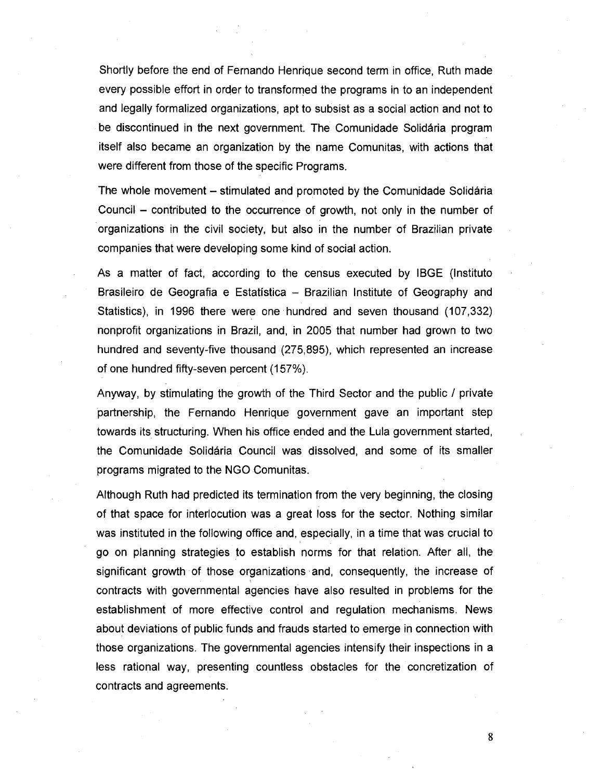Shortly before the end of Fernando Henrique second term in office, Ruth made every possible effort in order to transformed the programs in to an independent and legally formalized organizations, apt to subsist as a social action and not to be discontinued in the next government. The Comunidade Solidaria program itself also became an organization by the name Comunitas, with actions that were different from those of the specific Programs.

The whole movement – stimulated and promoted by the Comunidade Solidária Council  $-$  contributed to the occurrence of growth, not only in the number of organizations in the civil society, but also in the number of Brazilian private companies that were developing some kind of social action.

As a matter of fact, according to the census executed by IBGE (Instituto Brasileiro de Geografia e Estatística - Brazilian Institute of Geography and Statistics), in 1996 there were one hundred and seven thousand (107,332) nonprofit organizations in Brazil, and, in 2005 that number had grown to two hundred and seventy-five thousand (275,895), which represented an increase of one hundred fifty-seven percent (157%).

Anyway, by stimulating the growth of the Third Sector and the public / private partnership, the Fernando Henrique government gave an important step towards its structuring. When his office ended and the Lula government started, the Comunidade Solidaria Council was dissolved, and some of its smaller programs migrated to the NGO Comunitas.

Although Ruth had predicted its termination from the very beginning, the closing of that space for interlocution was a great loss for the sector. Nothing similar was instituted in the following office and, especially, in a time that was crucial to go on planning strategies to establish norms for that relation. After all, the significant growth of those organizations' and, consequently, the increase of contracts with governmental agencies have also resulted in problems for the establishment of more effective control and regulation mechanisms. News about deviations of public funds and frauds started to emerge in connection with those organizations. The governmental agencies intensify their inspections in a less rational way, presenting countless obstacles for the concretization of contracts and agreements.